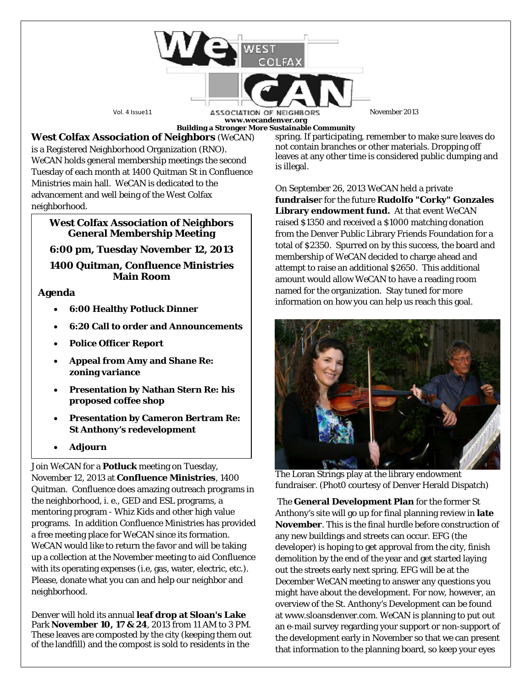

**www.wecandenver.org**

**West Colfax Association of Neighbors** (*WeCAN*) is a Registered Neighborhood Organization (RNO). *WeCAN* holds general membership meetings the second Tuesday of each month at 1400 Quitman St in Confluence Ministries main hall. *WeCAN* is dedicated to the advancement and well being of the West Colfax neighborhood.

## **West Colfax Association of Neighbors General Membership Meeting**

**6:00 pm, Tuesday November 12, 2013**

**1400 Quitman, Confluence Ministries Main Room**

**Agenda**

- **6:00 Healthy Potluck Dinner**
- **6:20 Call to order and Announcements**
- **Police Officer Report**
- **Appeal from Amy and Shane Re: zoning variance**
- **Presentation by Nathan Stern Re: his proposed coffee shop**
- **Presentation by Cameron Bertram Re: St Anthony's redevelopment**
- **Adjourn**

Join *WeCAN* for a **Potluck** meeting on Tuesday, November 12, 2013 at **Confluence Ministries**, 1400 Quitman. Confluence does amazing outreach programs in the neighborhood, i. e., GED and ESL programs, a mentoring program - Whiz Kids and other high value programs. In addition Confluence Ministries has provided a free meeting place for *WeCAN* since its formation. *WeCAN* would like to return the favor and will be taking up a collection at the November meeting to aid Confluence with its operating expenses (i.e, gas, water, electric, etc.). Please, donate what you can and help our neighbor and neighborhood.

Denver will hold its annual **leaf drop at Sloan's Lake** Park **November 10, 17 & 24**, 2013 from 11 AM to 3 PM. These leaves are composted by the city (keeping them out of the landfill) and the compost is sold to residents in the

**Building a Stronger More Sustainable Community** spring. If participating, remember to make sure leaves do not contain branches or other materials. Dropping off leaves at any other time is considered public dumping and is illegal.

> On September 26, 2013 *WeCAN* held a private **fundraise**r for the future **Rudolfo "Corky" Gonzales Library endowment fund.** At that event *WeCAN* raised \$1350 and received a \$1000 matching donation from the Denver Public Library Friends Foundation for a total of \$2350. Spurred on by this success, the board and membership of *WeCAN* decided to charge ahead and attempt to raise an additional \$2650. This additional amount would allow *WeCAN* to have a reading room named for the organization. Stay tuned for more information on how you can help us reach this goal.



The Loran Strings play at the library endowment fundraiser. (Phot0 courtesy of Denver Herald Dispatch)

The **General Development Plan** for the former St Anthony's site will go up for final planning review in **late November**. This is the final hurdle before construction of any new buildings and streets can occur. EFG (the developer) is hoping to get approval from the city, finish demolition by the end of the year and get started laying out the streets early next spring. EFG will be at the December *WeCAN* meeting to answer any questions you might have about the development. For now, however, an overview of the St. Anthony's Development can be found at www.sloansdenver.com. *WeCAN* is planning to put out an e-mail survey regarding your support or non-support of the development early in November so that we can present that information to the planning board, so keep your eyes